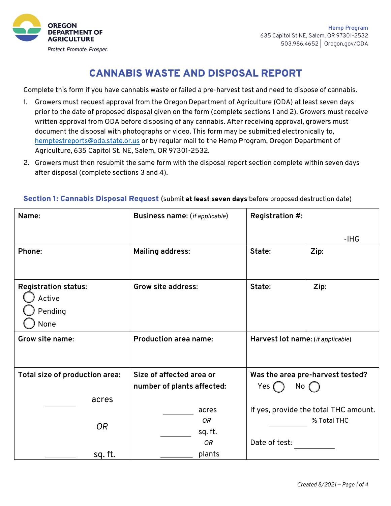

# CANNABIS WASTE AND DISPOSAL REPORT

Complete this form if you have cannabis waste or failed a pre-harvest test and need to dispose of cannabis.

- 1. Growers must request approval from the Oregon Department of Agriculture (ODA) at least seven days prior to the date of proposed disposal given on the form (complete sections 1 and 2). Growers must receive written approval from ODA before disposing of any cannabis. After receiving approval, growers must document the disposal with photographs or video. This form may be submitted electronically to, hemptestreports@oda.state.or.us or by regular mail to the Hemp Program, Oregon Department of Agriculture, 635 Capitol St. NE, Salem, OR 97301-2532.
- 2. Growers must then resubmit the same form with the disposal report section complete within seven days after disposal (complete sections 3 and 4).

| Name:                                                    | <b>Business name:</b> (if applicable)                             | Registration #:   |                                       |
|----------------------------------------------------------|-------------------------------------------------------------------|-------------------|---------------------------------------|
|                                                          |                                                                   |                   | $-HG$                                 |
| Phone:                                                   | <b>Mailing address:</b>                                           | State:            | Zip:                                  |
|                                                          |                                                                   |                   |                                       |
| <b>Registration status:</b><br>Active<br>Pending<br>None | <b>Grow site address:</b>                                         | State:            | Zip:                                  |
| Grow site name:                                          | <b>Production area name:</b><br>Harvest lot name: (if applicable) |                   |                                       |
| Total size of production area:                           | Size of affected area or                                          |                   | Was the area pre-harvest tested?      |
|                                                          | number of plants affected:                                        | Yes (<br>$No$ $($ |                                       |
| acres                                                    |                                                                   |                   |                                       |
|                                                          | acres                                                             |                   | If yes, provide the total THC amount. |
| <b>OR</b>                                                | 0R                                                                |                   | % Total THC                           |
|                                                          | sq. ft.                                                           |                   |                                       |
|                                                          | 0R                                                                | Date of test:     |                                       |
| sq. ft.                                                  | plants                                                            |                   |                                       |

#### Section 1: Cannabis Disposal Request (submit at least seven days before proposed destruction date)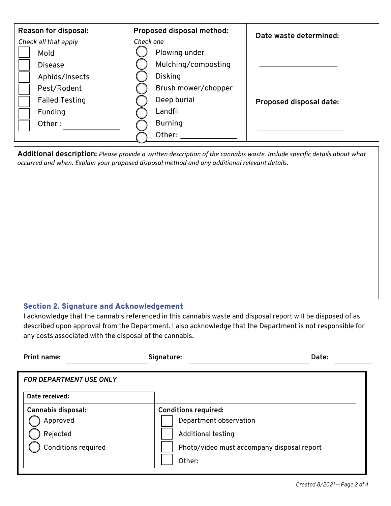| <b>Reason for disposal:</b> | Proposed disposal method: | Date waste determined:  |  |
|-----------------------------|---------------------------|-------------------------|--|
| Check all that apply        | Check one                 |                         |  |
| Mold                        | Plowing under             |                         |  |
| <b>Disease</b>              | Mulching/composting       |                         |  |
| Aphids/Insects              | Disking                   |                         |  |
| Pest/Rodent                 | Brush mower/chopper       |                         |  |
| <b>Failed Testing</b>       | Deep burial               | Proposed disposal date: |  |
| Funding                     | Landfill                  |                         |  |
| Other:                      | <b>Burning</b>            |                         |  |
|                             | Other:                    |                         |  |

**Additional description:** *Please provide a written description of the cannabis waste. Include specific details about what occurred and when. Explain your proposed disposal method and any additional relevant details.*

### Section 2. Signature and Acknowledgement

I acknowledge that the cannabis referenced in this cannabis waste and disposal report will be disposed of as described upon approval from the Department. I also acknowledge that the Department is not responsible for any costs associated with the disposal of the cannabis.

| Print name:                           | Signature:                                            | Date: |
|---------------------------------------|-------------------------------------------------------|-------|
| <b>FOR DEPARTMENT USE ONLY</b>        |                                                       |       |
| Date received:                        |                                                       |       |
| <b>Cannabis disposal:</b><br>Approved | <b>Conditions required:</b><br>Department observation |       |
| Rejected                              | Additional testing                                    |       |
| <b>Conditions required</b>            | Photo/video must accompany disposal report<br>Other:  |       |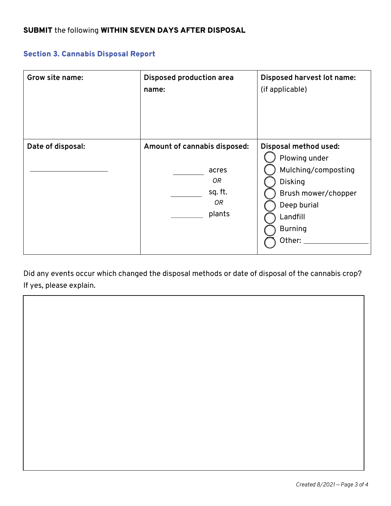## Section 3. Cannabis Disposal Report

| Grow site name:   | <b>Disposed production area</b><br>name:                               | Disposed harvest lot name:<br>(if applicable)                                                                                                                 |
|-------------------|------------------------------------------------------------------------|---------------------------------------------------------------------------------------------------------------------------------------------------------------|
| Date of disposal: | Amount of cannabis disposed:<br>acres<br>OR<br>sq. ft.<br>0R<br>plants | Disposal method used:<br>Plowing under<br>Mulching/composting<br><b>Disking</b><br>Brush mower/chopper<br>Deep burial<br>Landfill<br><b>Burning</b><br>Other: |

Did any events occur which changed the disposal methods or date of disposal of the cannabis crop? If yes, please explain.